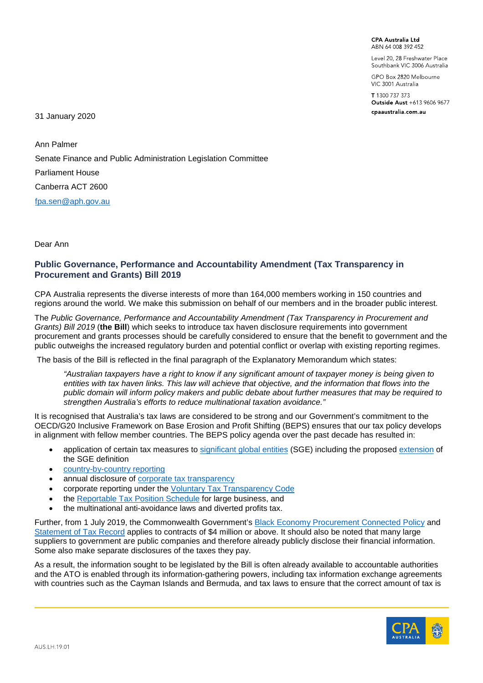**CPA Australia Ltd** ARN 64 008 392 452

Level 20, 28 Freshwater Place Southbank VIC 3006 Australia

GPO Box 2820 Melbourne VIC 3001 Australia

T 1300 737 373 Outside Aust +613 9606 9677 cpaaustralia.com.au

31 January 2020

Ann Palmer Senate Finance and Public Administration Legislation Committee Parliament House Canberra ACT 2600 [fpa.sen@aph.gov.au](mailto:fpa.sen@aph.gov.au)

Dear Ann

### **Public Governance, Performance and Accountability Amendment (Tax Transparency in Procurement and Grants) Bill 2019**

CPA Australia represents the diverse interests of more than 164,000 members working in 150 countries and regions around the world. We make this submission on behalf of our members and in the broader public interest.

The *Public Governance, Performance and Accountability Amendment (Tax Transparency in Procurement and Grants) Bill 2019* (**the Bill**) which seeks to introduce tax haven disclosure requirements into government procurement and grants processes should be carefully considered to ensure that the benefit to government and the public outweighs the increased regulatory burden and potential conflict or overlap with existing reporting regimes.

The basis of the Bill is reflected in the final paragraph of the Explanatory Memorandum which states:

*"Australian taxpayers have a right to know if any significant amount of taxpayer money is being given to entities with tax haven links. This law will achieve that objective, and the information that flows into the public domain will inform policy makers and public debate about further measures that may be required to strengthen Australia's efforts to reduce multinational taxation avoidance."*

It is recognised that Australia's tax laws are considered to be strong and our Government's commitment to the OECD/G20 Inclusive Framework on Base Erosion and Profit Shifting (BEPS) ensures that our tax policy develops in alignment with fellow member countries. The BEPS policy agenda over the past decade has resulted in:

- application of certain tax measures to [significant global entities](https://www.ato.gov.au/Business/Public-business-and-international/Significant-global-entities/) (SGE) including the proposed [extension](https://treasury.gov.au/consultation/c2019-32733) of the SGE definition
- [country-by-country reporting](https://www.ato.gov.au/Business/International-tax-for-business/In-detail/Transfer-pricing/country-by-country-reporting/)
- annual disclosure of [corporate tax transparency](https://data.gov.au/data/dataset/corporate-transparency)
- corporate reporting under the *Voluntary Tax Transparency Code*
- the [Reportable Tax Position Schedule](https://www.ato.gov.au/Business/Large-business/Compliance-and-governance/Reportable-tax-positions/) for large business, and
- the multinational anti-avoidance laws and diverted profits tax.

Further, from 1 July 2019, the Commonwealth Government's [Black Economy Procurement Connected Policy](http://treasury.gov.au/policy-topics/economy/black-economy/procurement-connected-policy) and [Statement of Tax Record](https://www.ato.gov.au/Business/Bus/Statement-of-tax-record/) applies to contracts of \$4 million or above. It should also be noted that many large suppliers to government are public companies and therefore already publicly disclose their financial information. Some also make separate disclosures of the taxes they pay.

As a result, the information sought to be legislated by the Bill is often already available to accountable authorities and the ATO is enabled through its information-gathering powers, including tax information exchange agreements with countries such as the Cayman Islands and Bermuda, and tax laws to ensure that the correct amount of tax is

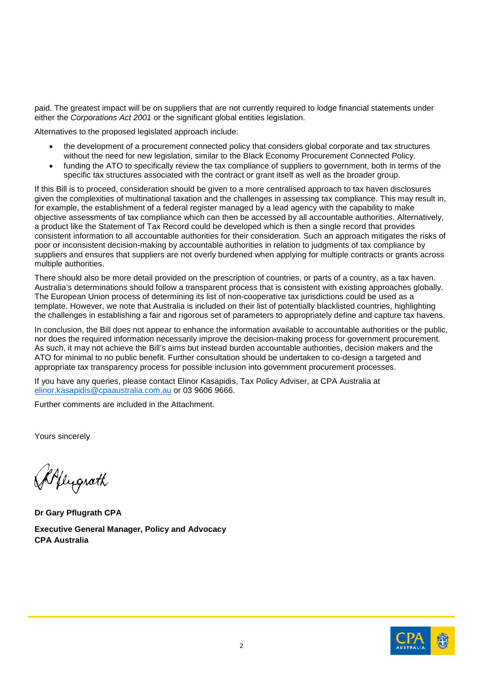paid. The greatest impact will be on suppliers that are not currently required to lodge financial statements under either the *Corporations Act 2001* or the significant global entities legislation.

Alternatives to the proposed legislated approach include:

- the development of a procurement connected policy that considers global corporate and tax structures without the need for new legislation, similar to the Black Economy Procurement Connected Policy.
- funding the ATO to specifically review the tax compliance of suppliers to government, both in terms of the specific tax structures associated with the contract or grant itself as well as the broader group.

If this Bill is to proceed, consideration should be given to a more centralised approach to tax haven disclosures given the complexities of multinational taxation and the challenges in assessing tax compliance. This may result in, for example, the establishment of a federal register managed by a lead agency with the capability to make objective assessments of tax compliance which can then be accessed by all accountable authorities. Alternatively, a product like the Statement of Tax Record could be developed which is then a single record that provides consistent information to all accountable authorities for their consideration. Such an approach mitigates the risks of poor or inconsistent decision-making by accountable authorities in relation to judgments of tax compliance by suppliers and ensures that suppliers are not overly burdened when applying for multiple contracts or grants across multiple authorities.

There should also be more detail provided on the prescription of countries, or parts of a country, as a tax haven. Australia's determinations should follow a transparent process that is consistent with existing approaches globally. The European Union process of determining its list of non-cooperative tax jurisdictions could be used as a template. However, we note that Australia is included on their list of potentially blacklisted countries, highlighting the challenges in establishing a fair and rigorous set of parameters to appropriately define and capture tax havens.

In conclusion, the Bill does not appear to enhance the information available to accountable authorities or the public, nor does the required information necessarily improve the decision-making process for government procurement. As such, it may not achieve the Bill's aims but instead burden accountable authorities, decision makers and the ATO for minimal to no public benefit. Further consultation should be undertaken to co-design a targeted and appropriate tax transparency process for possible inclusion into government procurement processes.

If you have any queries, please contact Elinor Kasapidis, Tax Policy Adviser, at CPA Australia at elinor.kasapidis@cpaaustralia.com.au or 03 9606 9666.

Further comments are included in the Attachment.

Yours sincerely

Popugrath

**Dr Gary Pflugrath CPA Executive General Manager, Policy and Advocacy CPA Australia**

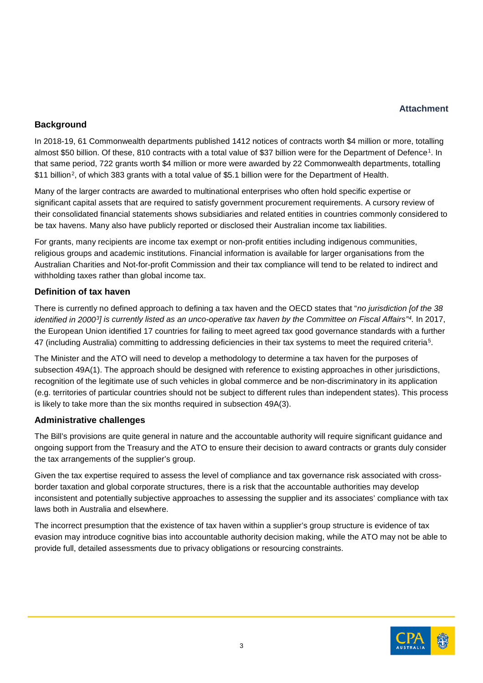# **Attachment**

# **Background**

In 2018-19, 61 Commonwealth departments published 1412 notices of contracts worth \$4 million or more, totalling almost \$50 billion. Of these, 810 contracts with a total value of \$37 billion were for the Department of Defence<sup>1</sup>. In that same period, 722 grants worth \$4 million or more were awarded by 22 Commonwealth departments, totalling \$11 billion[2,](#page-5-1) of which 383 grants with a total value of \$5.1 billion were for the Department of Health.

Many of the larger contracts are awarded to multinational enterprises who often hold specific expertise or significant capital assets that are required to satisfy government procurement requirements. A cursory review of their consolidated financial statements shows subsidiaries and related entities in countries commonly considered to be tax havens. Many also have publicly reported or disclosed their Australian income tax liabilities.

For grants, many recipients are income tax exempt or non-profit entities including indigenous communities, religious groups and academic institutions. Financial information is available for larger organisations from the Australian Charities and Not-for-profit Commission and their tax compliance will tend to be related to indirect and withholding taxes rather than global income tax.

# **Definition of tax haven**

There is currently no defined approach to defining a tax haven and the OECD states that "*no jurisdiction [of the 38 identified in 2000[3](#page-5-2)] is currently listed as an unco-operative tax haven by the Committee on Fiscal Affairs"[4](#page-5-3).* In 2017, the European Union identified 17 countries for failing to meet agreed tax good governance standards with a further 47 (including Australia) committing to addressing deficiencies in their tax systems to meet the required criteria[5.](#page-5-4)

The Minister and the ATO will need to develop a methodology to determine a tax haven for the purposes of subsection 49A(1). The approach should be designed with reference to existing approaches in other jurisdictions, recognition of the legitimate use of such vehicles in global commerce and be non-discriminatory in its application (e.g. territories of particular countries should not be subject to different rules than independent states). This process is likely to take more than the six months required in subsection 49A(3).

### **Administrative challenges**

The Bill's provisions are quite general in nature and the accountable authority will require significant guidance and ongoing support from the Treasury and the ATO to ensure their decision to award contracts or grants duly consider the tax arrangements of the supplier's group.

Given the tax expertise required to assess the level of compliance and tax governance risk associated with crossborder taxation and global corporate structures, there is a risk that the accountable authorities may develop inconsistent and potentially subjective approaches to assessing the supplier and its associates' compliance with tax laws both in Australia and elsewhere.

The incorrect presumption that the existence of tax haven within a supplier's group structure is evidence of tax evasion may introduce cognitive bias into accountable authority decision making, while the ATO may not be able to provide full, detailed assessments due to privacy obligations or resourcing constraints.

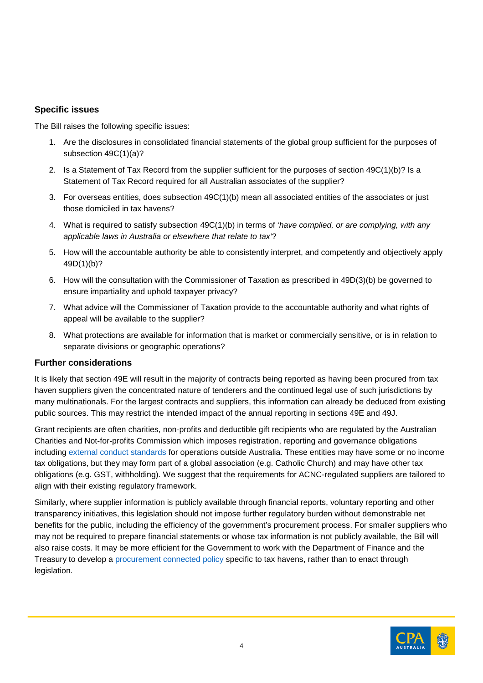## **Specific issues**

The Bill raises the following specific issues:

- 1. Are the disclosures in consolidated financial statements of the global group sufficient for the purposes of subsection 49C(1)(a)?
- 2. Is a Statement of Tax Record from the supplier sufficient for the purposes of section 49C(1)(b)? Is a Statement of Tax Record required for all Australian associates of the supplier?
- 3. For overseas entities, does subsection 49C(1)(b) mean all associated entities of the associates or just those domiciled in tax havens?
- 4. What is required to satisfy subsection 49C(1)(b) in terms of '*have complied, or are complying, with any applicable laws in Australia or elsewhere that relate to tax'*?
- 5. How will the accountable authority be able to consistently interpret, and competently and objectively apply 49D(1)(b)?
- 6. How will the consultation with the Commissioner of Taxation as prescribed in 49D(3)(b) be governed to ensure impartiality and uphold taxpayer privacy?
- 7. What advice will the Commissioner of Taxation provide to the accountable authority and what rights of appeal will be available to the supplier?
- 8. What protections are available for information that is market or commercially sensitive, or is in relation to separate divisions or geographic operations?

### **Further considerations**

It is likely that section 49E will result in the majority of contracts being reported as having been procured from tax haven suppliers given the concentrated nature of tenderers and the continued legal use of such jurisdictions by many multinationals. For the largest contracts and suppliers, this information can already be deduced from existing public sources. This may restrict the intended impact of the annual reporting in sections 49E and 49J.

Grant recipients are often charities, non-profits and deductible gift recipients who are regulated by the Australian Charities and Not-for-profits Commission which imposes registration, reporting and governance obligations including [external conduct standards](https://www.acnc.gov.au/for-charities/manage-your-charity/governance-hub/acnc-external-conduct-standards) for operations outside Australia. These entities may have some or no income tax obligations, but they may form part of a global association (e.g. Catholic Church) and may have other tax obligations (e.g. GST, withholding). We suggest that the requirements for ACNC-regulated suppliers are tailored to align with their existing regulatory framework.

Similarly, where supplier information is publicly available through financial reports, voluntary reporting and other transparency initiatives, this legislation should not impose further regulatory burden without demonstrable net benefits for the public, including the efficiency of the government's procurement process. For smaller suppliers who may not be required to prepare financial statements or whose tax information is not publicly available, the Bill will also raise costs. It may be more efficient for the Government to work with the Department of Finance and the Treasury to develop a [procurement connected policy](https://www.finance.gov.au/government/procurement/clausebank/procurement-connected-policy) specific to tax havens, rather than to enact through legislation.

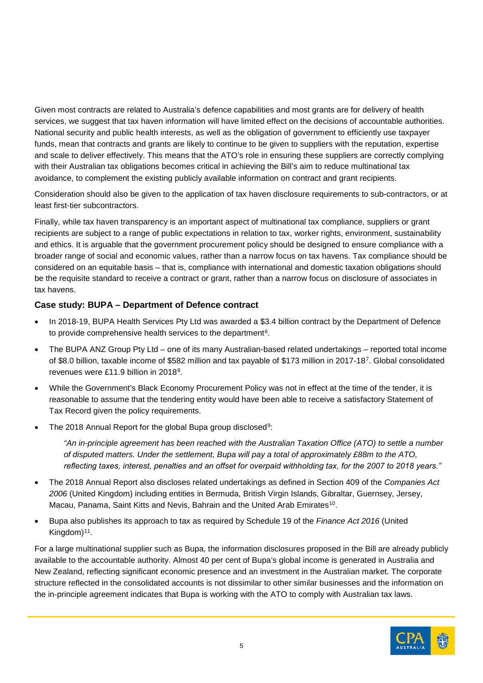Given most contracts are related to Australia's defence capabilities and most grants are for delivery of health services, we suggest that tax haven information will have limited effect on the decisions of accountable authorities. National security and public health interests, as well as the obligation of government to efficiently use taxpayer funds, mean that contracts and grants are likely to continue to be given to suppliers with the reputation, expertise and scale to deliver effectively. This means that the ATO's role in ensuring these suppliers are correctly complying with their Australian tax obligations becomes critical in achieving the Bill's aim to reduce multinational tax avoidance, to complement the existing publicly available information on contract and grant recipients.

Consideration should also be given to the application of tax haven disclosure requirements to sub-contractors, or at least first-tier subcontractors.

Finally, while tax haven transparency is an important aspect of multinational tax compliance, suppliers or grant recipients are subject to a range of public expectations in relation to tax, worker rights, environment, sustainability and ethics. It is arguable that the government procurement policy should be designed to ensure compliance with a broader range of social and economic values, rather than a narrow focus on tax havens. Tax compliance should be considered on an equitable basis – that is, compliance with international and domestic taxation obligations should be the requisite standard to receive a contract or grant, rather than a narrow focus on disclosure of associates in tax havens.

# **Case study: BUPA – Department of Defence contract**

- In 2018-19, BUPA Health Services Pty Ltd was awarded a \$3.4 billion contract by the Department of Defence to provide comprehensive health services to the department<sup>6</sup>.
- The BUPA ANZ Group Pty Ltd one of its many Australian-based related undertakings reported total income of \$8.0 billion, taxable income of \$582 million and tax payable of \$173 million in 2017-18[7](#page-5-6). Global consolidated revenues were £11.9 billion in 2018[8](#page-5-7).
- While the Government's Black Economy Procurement Policy was not in effect at the time of the tender, it is reasonable to assume that the tendering entity would have been able to receive a satisfactory Statement of Tax Record given the policy requirements.
- The 2018 Annual Report for the global Bupa group disclosed<sup>[9](#page-5-8)</sup>:

*"An in-principle agreement has been reached with the Australian Taxation Office (ATO) to settle a number of disputed matters. Under the settlement, Bupa will pay a total of approximately £88m to the ATO, reflecting taxes, interest, penalties and an offset for overpaid withholding tax, for the 2007 to 2018 years."*

- The 2018 Annual Report also discloses related undertakings as defined in Section 409 of the *Companies Act 2006* (United Kingdom) including entities in Bermuda, British Virgin Islands, Gibraltar, Guernsey, Jersey, Macau, Panama, Saint Kitts and Nevis, Bahrain and the United Arab Emirates<sup>10</sup>.
- Bupa also publishes its approach to tax as required by Schedule 19 of the *Finance Act 2016* (United Kingdom)<sup>[11](#page-5-10)</sup>.

For a large multinational supplier such as Bupa, the information disclosures proposed in the Bill are already publicly available to the accountable authority. Almost 40 per cent of Bupa's global income is generated in Australia and New Zealand, reflecting significant economic presence and an investment in the Australian market. The corporate structure reflected in the consolidated accounts is not dissimilar to other similar businesses and the information on the in-principle agreement indicates that Bupa is working with the ATO to comply with Australian tax laws.